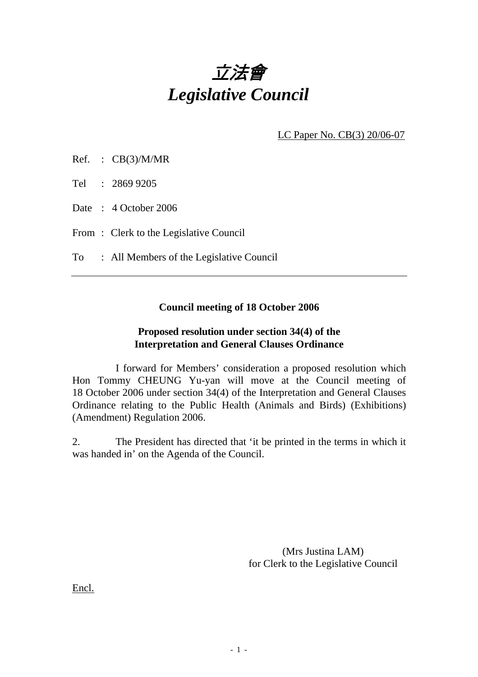

LC Paper No. CB(3) 20/06-07

Ref. : CB(3)/M/MR

Tel : 2869 9205

Date: 4 October 2006

From: Clerk to the Legislative Council

To : All Members of the Legislative Council

## **Council meeting of 18 October 2006**

## **Proposed resolution under section 34(4) of the Interpretation and General Clauses Ordinance**

 I forward for Members' consideration a proposed resolution which Hon Tommy CHEUNG Yu-yan will move at the Council meeting of 18 October 2006 under section 34(4) of the Interpretation and General Clauses Ordinance relating to the Public Health (Animals and Birds) (Exhibitions) (Amendment) Regulation 2006.

2. The President has directed that 'it be printed in the terms in which it was handed in' on the Agenda of the Council.

> (Mrs Justina LAM) for Clerk to the Legislative Council

Encl.